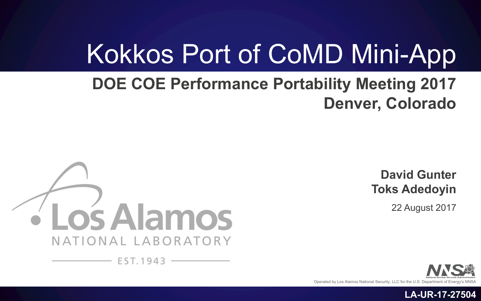# Kokkos Port of CoMD Mini-App

#### **DOE COE Performance Portability Meeting 2017 Denver, Colorado**



**David Gunter Toks Adedoyin**

22 August 2017

**LA-UR-17-27504**

Operated by Los Alamos National Security, LLC for the U.S. Department of Energ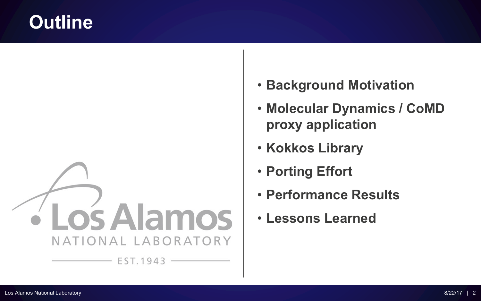### **Outline**



- **Background Motivation**
- **Molecular Dynamics / CoMD proxy application**
- **Kokkos Library**
- **Porting Effort**
- **Performance Results**
- **Lessons Learned**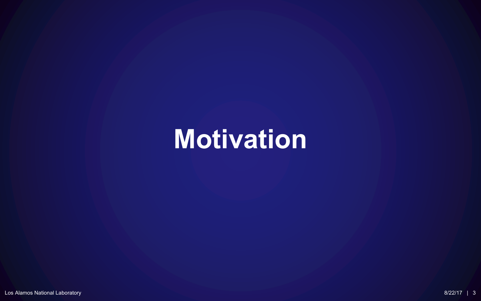# **Motivation**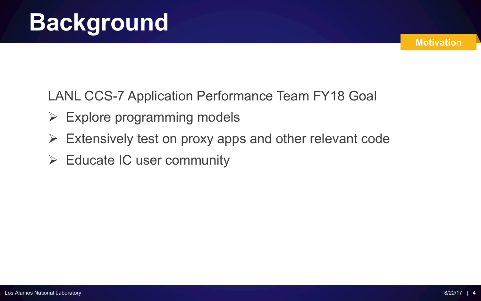LANL CCS-7 Application Performance Team FY18 Goal

- $\triangleright$  Explore programming models
- $\triangleright$  Extensively test on proxy apps and other relevant code
- $\triangleright$  Educate IC user community

**Motivation**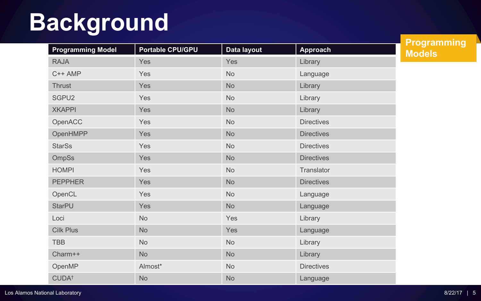# **Background**

| <b>Programming Model</b> | <b>Portable CPU/GPU</b> | Data layout | <b>Approach</b>   |
|--------------------------|-------------------------|-------------|-------------------|
| <b>RAJA</b>              | Yes                     | Yes         | Library           |
| C++ AMP                  | Yes                     | <b>No</b>   | Language          |
| Thrust                   | Yes                     | <b>No</b>   | Library           |
| SGPU2                    | Yes                     | <b>No</b>   | Library           |
| <b>XKAPPI</b>            | Yes                     | <b>No</b>   | Library           |
| OpenACC                  | Yes                     | <b>No</b>   | <b>Directives</b> |
| OpenHMPP                 | Yes                     | <b>No</b>   | <b>Directives</b> |
| <b>StarSs</b>            | Yes                     | <b>No</b>   | <b>Directives</b> |
| OmpSs                    | Yes                     | No          | <b>Directives</b> |
| <b>HOMPI</b>             | Yes                     | <b>No</b>   | Translator        |
| <b>PEPPHER</b>           | Yes                     | No          | <b>Directives</b> |
| OpenCL                   | Yes                     | <b>No</b>   | Language          |
| <b>StarPU</b>            | Yes                     | No          | Language          |
| Loci                     | <b>No</b>               | Yes         | Library           |
| <b>Cilk Plus</b>         | No                      | Yes         | Language          |
| <b>TBB</b>               | <b>No</b>               | <b>No</b>   | Library           |
| Charm++                  | <b>No</b>               | <b>No</b>   | Library           |
| OpenMP                   | Almost*                 | <b>No</b>   | <b>Directives</b> |
| CUDA <sup>+</sup>        | <b>No</b>               | <b>No</b>   | Language          |

**Programming Models**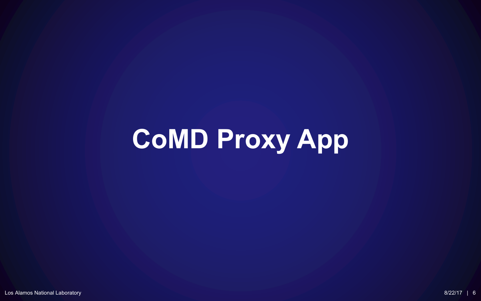# **CoMD Proxy App**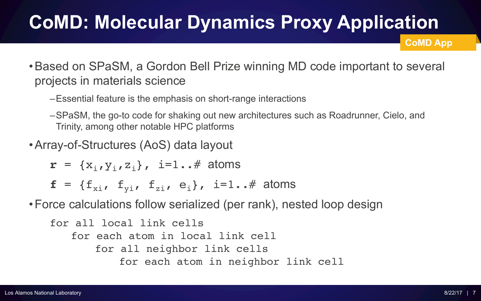## **CoMD: Molecular Dynamics Proxy Application**

**CoMD App**

- •Based on SPaSM, a Gordon Bell Prize winning MD code important to several projects in materials science
	- –Essential feature is the emphasis on short-range interactions
	- –SPaSM, the go-to code for shaking out new architectures such as Roadrunner, Cielo, and Trinity, among other notable HPC platforms
- •Array-of-Structures (AoS) data layout
	- $\mathbf{r} = \{x_i, y_i, z_i\}$ , i=1..# atoms
	- $f = \{f_{xi}, f_{yi}, f_{zi}, f_{zi}, e_i\}, i=1..# atoms$

•Force calculations follow serialized (per rank), nested loop design

for all local link cells for each atom in local link cell for all neighbor link cells for each atom in neighbor link cell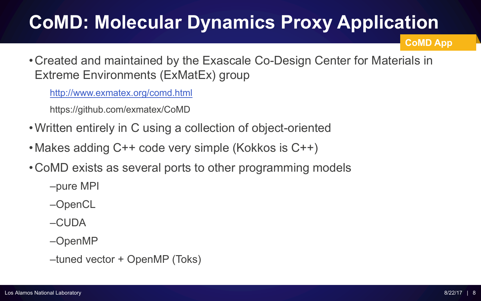## **CoMD: Molecular Dynamics Proxy Application**

**CoMD App**

• Created and maintained by the Exascale Co-Design Center for Materials in Extreme Environments (ExMatEx) group

http://www.exmatex.org/comd.html

https://github.com/exmatex/CoMD

- Written entirely in C using a collection of object-oriented
- Makes adding C++ code very simple (Kokkos is C++)
- CoMD exists as several ports to other programming models

–pure MPI

–OpenCL

 $-$ CUDA

–OpenMP

–tuned vector + OpenMP (Toks)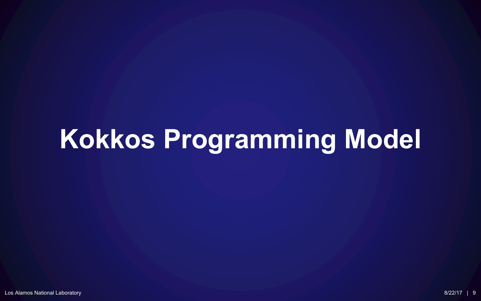# **Kokkos Programming Model**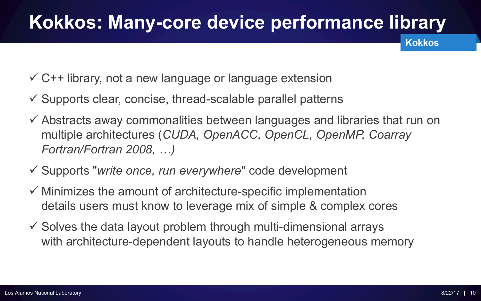## **Kokkos: Many-core device performance library**

- $\checkmark$  C++ library, not a new language or language extension
- $\checkmark$  Supports clear, concise, thread-scalable parallel patterns
- $\checkmark$  Abstracts away commonalities between languages and libraries that run on multiple architectures (*CUDA, OpenACC, OpenCL, OpenMP, Coarray Fortran/Fortran 2008, …)*
- ü Supports "*write once, run everywhere*" code development
- $\checkmark$  Minimizes the amount of architecture-specific implementation details users must know to leverage mix of simple & complex cores
- $\checkmark$  Solves the data layout problem through multi-dimensional arrays with architecture-dependent layouts to handle heterogeneous memory

**Kokkos**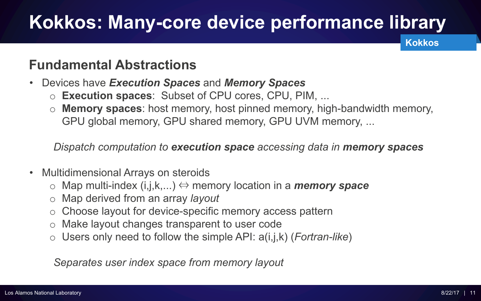## **Kokkos: Many-core device performance library**

**Kokkos**

#### **Fundamental Abstractions**

- Devices have *Execution Spaces* and *Memory Spaces*
	- o **Execution spaces**: Subset of CPU cores, CPU, PIM, ...
	- o **Memory spaces**: host memory, host pinned memory, high-bandwidth memory, GPU global memory, GPU shared memory, GPU UVM memory, ...

*Dispatch computation to execution space accessing data in memory spaces*

- Multidimensional Arrays on steroids
	- o Map multi-index (i,j,k,...) ⇔ memory location in a *memory space*
	- o Map derived from an array *layout*
	- o Choose layout for device-specific memory access pattern
	- o Make layout changes transparent to user code
	- o Users only need to follow the simple API: a(i,j,k) (*Fortran-like*)

*Separates user index space from memory layout*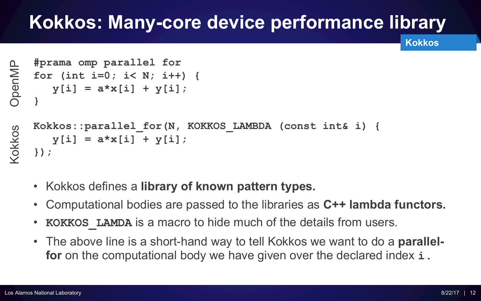## **Kokkos: Many-core device performance library**

**Kokkos**

```
#prama omp parallel for
    for (int i=0; i< N; i++) {
       y[i] = a*x[i] + y[i];
OpenMP
    }
Kokkos
```

```
Kokkos::parallel_for(N, KOKKOS_LAMBDA (const int& i) {
  y[i] = a*x[i] + y[i];
});
```
- Kokkos defines a **library of known pattern types.**
- Computational bodies are passed to the libraries as **C++ lambda functors.**
- **KOKKOS** LAMDA is a macro to hide much of the details from users.
- The above line is a short-hand way to tell Kokkos we want to do a **parallelfor** on the computational body we have given over the declared index **i.**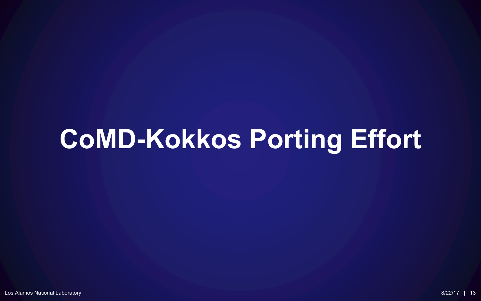# **CoMD-Kokkos Porting Effort**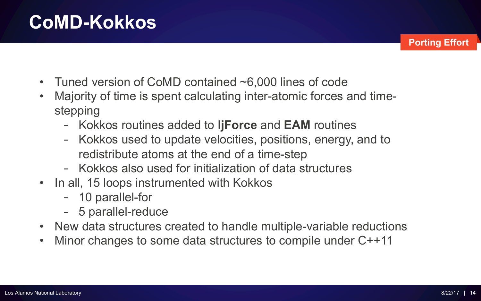**CoMD-Kokkos**

- 
- Tuned version of CoMD contained ~6,000 lines of code
- Majority of time is spent calculating inter-atomic forces and timestepping
	- Kokkos routines added to **ljForce** and **EAM** routines
	- Kokkos used to update velocities, positions, energy, and to redistribute atoms at the end of a time-step
	- Kokkos also used for initialization of data structures
- In all, 15 loops instrumented with Kokkos
	- 10 parallel-for
	- 5 parallel-reduce
- New data structures created to handle multiple-variable reductions
- Minor changes to some data structures to compile under C++11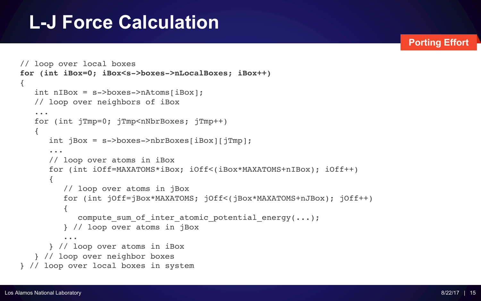### **L-J Force Calculation**

```
// loop over local boxes
for (int iBox=0; iBox<s->boxes->nLocalBoxes; iBox++)
{
   int nIBox = s->boxes->nAtoms[iBox];
   // loop over neighbors of iBox
   ...
   for (int jTmp=0; jTmp<nNbrBoxes; jTmp++)
   { 
      int jBox = s - >boxes - >nbrBoxes[iBox][jTmp];...
      // loop over atoms in iBox
      for (int iOff=MAXATOMS*iBox; iOff<(iBox*MAXATOMS+nIBox); iOff++)
      { 
         // loop over atoms in jBox
         for (int jOff=jBox*MAXATOMS; jOff<(jBox*MAXATOMS+nJBox); jOff++)
         {
            compute sum of inter atomic potential energy(\ldots);
         } // loop over atoms in jBox
         ...
      } // loop over atoms in iBox
   } // loop over neighbor boxes
} // loop over local boxes in system
```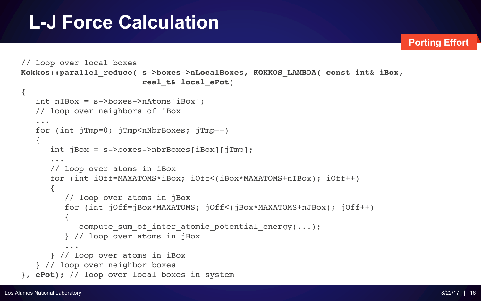## **L-J Force Calculation**

```
// loop over local boxes
Kokkos::parallel_reduce( s->boxes->nLocalBoxes, KOKKOS_LAMBDA( const int& iBox, 
                         real_t& local_ePot)
{
   int nIBox = s->boxes->nAtoms[iBox];
   // loop over neighbors of iBox
   ...
   for (int jTmp=0; jTmp<nNbrBoxes; jTmp++)
   { 
      int jBox = s->boxes->nbrBoxes[iBox][jTmp];...
      // loop over atoms in iBox
      for (int iOff=MAXATOMS*iBox; iOff<(iBox*MAXATOMS+nIBox); iOff++)
      { 
         // loop over atoms in jBox
         for (int jOff=jBox*MAXATOMS; jOff<(jBox*MAXATOMS+nJBox); jOff++)
         {
            compute sum of inter atomic potential energy(\ldots);
         } // loop over atoms in jBox
         ...
      } // loop over atoms in iBox
   } // loop over neighbor boxes
}, ePot); // loop over local boxes in system
```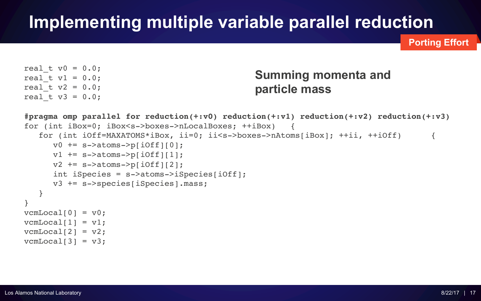### **Implementing multiple variable parallel reduction**

**Porting Effort**

```
real t v0 = 0.0;
real t v1 = 0.0;
real t v2 = 0.0;
real t v3 = 0.0;
```
#### **Summing momenta and particle mass**

```
#pragma omp parallel for reduction(+:v0) reduction(+:v1) reduction(+:v2) reduction(+:v3)
for (int iBox=0; iBox<s->boxes->nLocalBoxes; ++iBox) {
   for (int iOff=MAXATOMS*iBox, ii=0; ii<s->boxes->nAtoms[iBox]; ++ii, ++iOff) {
     v0 += s->atoms->p[iOff][0];
      v1 += s->atoms->p[iOff][1];
      v2 += s->atoms->p[iOff][2];
      int iSpecies = s->atoms->iSpecies[iOff];
     v3 += s->species[iSpecies].mass; 
   }
}
vcmLocal[0] = v0;vcmLocal[1] = v1;vcmLocal[2] = v2;
```

```
vcmLocal[3] = v3;
```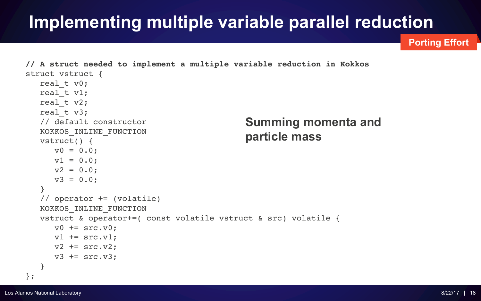### **Implementing multiple variable parallel reduction**

```
// A struct needed to implement a multiple variable reduction in Kokkos
struct vstruct {
  real t v0;
  real t v1;
   real t v2;
  real t v3;
   // default constructor
  KOKKOS_INLINE_FUNCTION
  vstruct() {
     v0 = 0.0;
     v1 = 0.0;
     v2 = 0.0;
     v3 = 0.0:
   }
   // operator += (volatile)
   KOKKOS_INLINE_FUNCTION
   vstruct & operator+=( const volatile vstruct & src) volatile {
     v0 += src.v0;
     v1 += src.v1;v2 += src.v2;
     v3 += src.v3;
   }
};
                                             Summing momenta and
                                             particle mass
```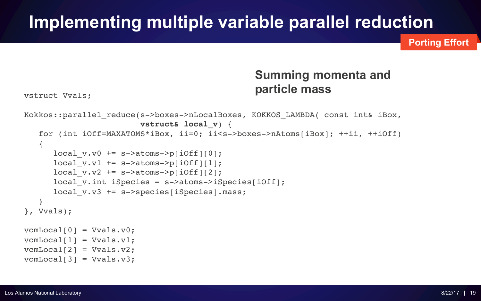#### **Implementing multiple variable parallel reduction**

**Porting Effort**

#### **Summing momenta and particle mass**

vstruct Vvals;

```
Kokkos::parallel reduce(s->boxes->nLocalBoxes, KOKKOS LAMBDA( const int& iBox,
                        vstruct& local_v) {
   for (int iOff=MAXATOMS*iBox, ii=0; ii<s->boxes->nAtoms[iBox]; ++ii, ++iOff)
   {
      local v.v0 += s->atoms->p[iOff][0];local v.v1 += s->atoms->p[iOff][1];
      local v.v2 += s->atoms->p[iOff][2];local v.int iSpecies = s->atoms->iSpecies[iOff];
      local v.v3 += s->species[iSpecies].mass;}
}, Vvals);
vcmLocal[0] = Vvals.v0;vcmLocal[1] = Vvals.v1;vcmLocal[2] = Vvals.v2;vcmLocal[3] = Vvals.v3;
```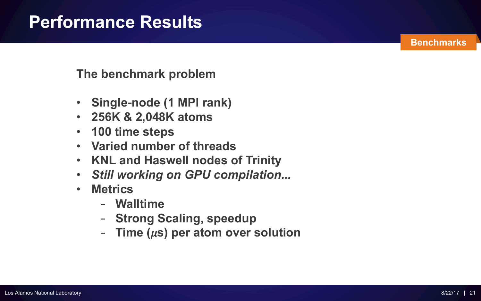**The benchmark problem**

- **Single-node (1 MPI rank)**
- **256K & 2,048K atoms**
- **100 time steps**
- **Varied number of threads**
- **KNL and Haswell nodes of Trinity**
- *Still working on GPU compilation...*
- **Metrics**
	- **Walltime**
	- **Strong Scaling, speedup**
	- **Time (s) per atom over solution**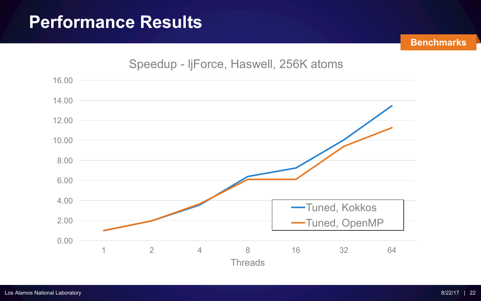

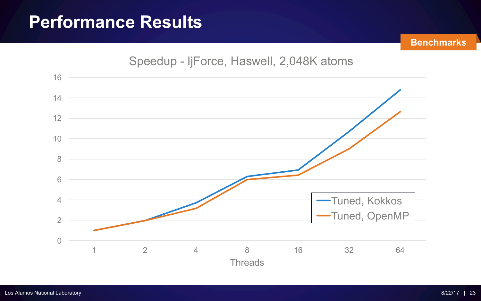

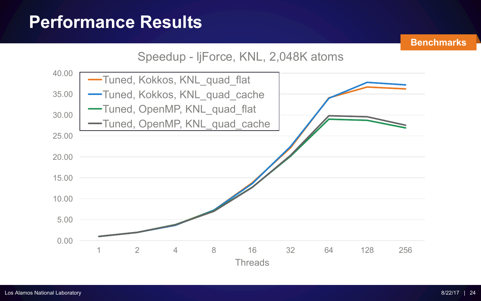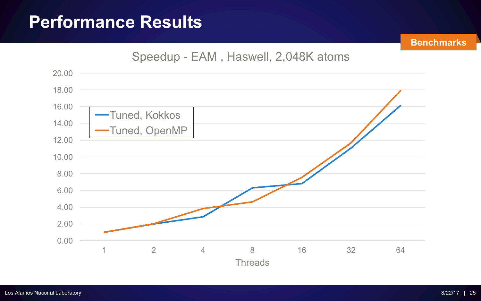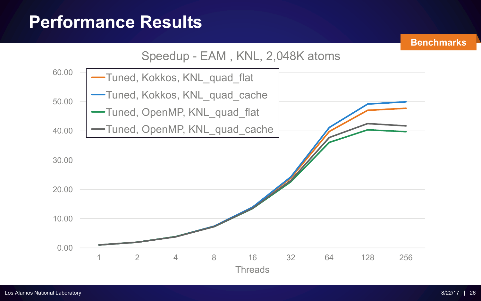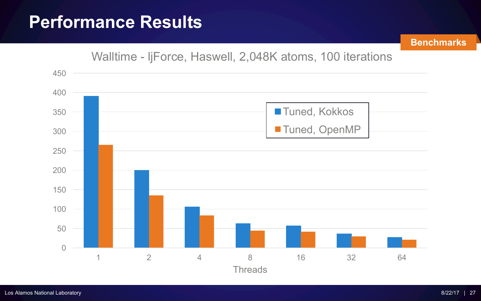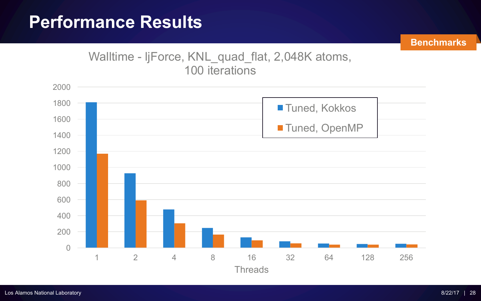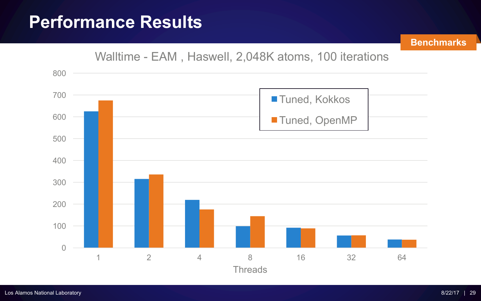

#### Walltime - EAM , Haswell, 2,048K atoms, 100 iterations

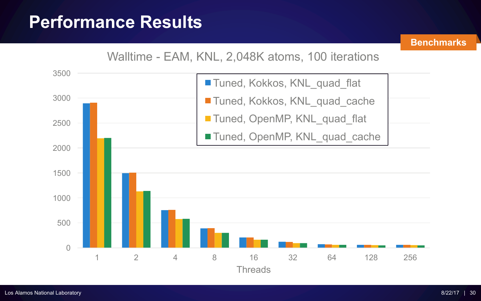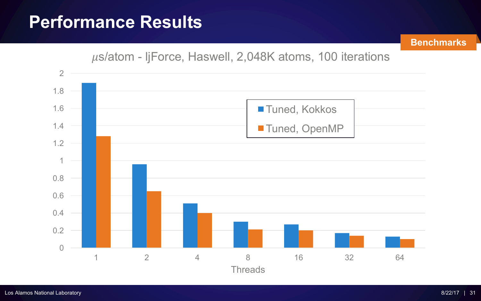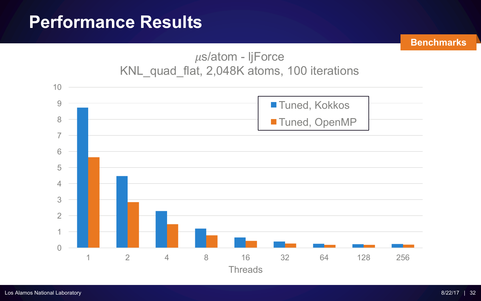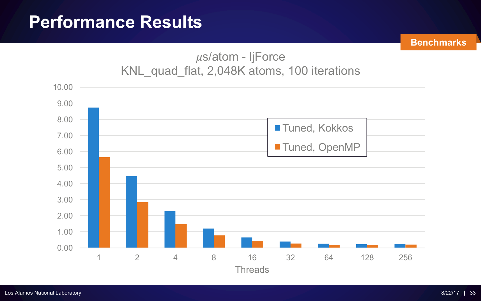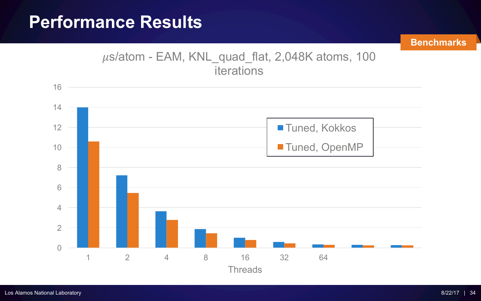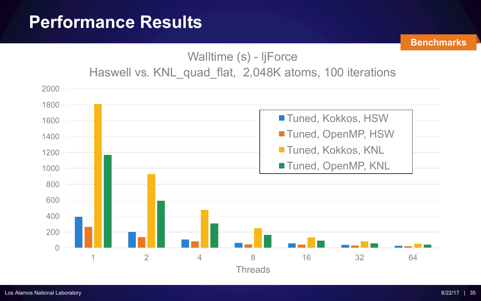#### Walltime (s) - ljForce Haswell vs. KNL\_quad\_flat, 2,048K atoms, 100 iterations

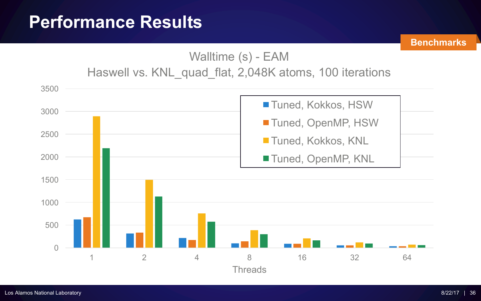

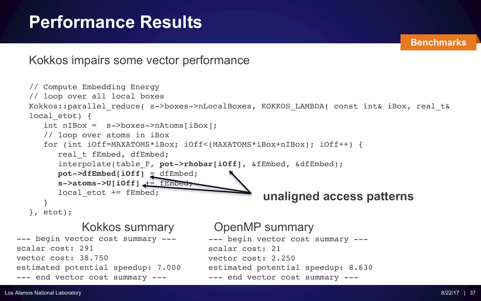Kokkos impairs some vector performance

```
// Compute Embedding Energy
  // loop over all local boxes
  Kokkos::parallel reduce( s->boxes->nLocalBoxes, KOKKOS LAMBDA( const int& iBox, real t&
  local etot) {
     int nIBox = s->boxes->nAtoms[iBox];
     // loop over atoms in iBox
     for (int iOff=MAXATOMS*iBox; iOff<(MAXATOMS*iBox+nIBox); iOff++) {
        real t fEmbed, dfEmbed;
        interpolate(table_F, pot->rhobar[iOff], &fEmbed, &dfEmbed);
        pot->dfEmbed[iOff] = dfEmbed;
        s->atoms->U[iOff] += fEmbed;
        local etot += fEmbed;
     }
  }, etot);
                                                  unaligned access patterns
                                       --- begin vector cost summary ---
                                       scalar cost: 21
                                       vector cost: 2.250
                                       estimated potential speedup: 8.630
                                       --- end vector cost summary ---
--- begin vector cost summary ---
scalar cost: 291
vector cost: 38.750
estimated potential speedup: 7.000
--- end vector cost summary ---
             Kokkos summary OpenMP summary
```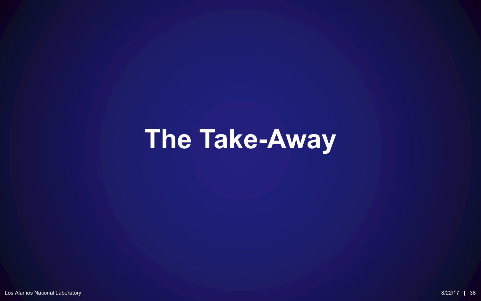# **The Take-Away**